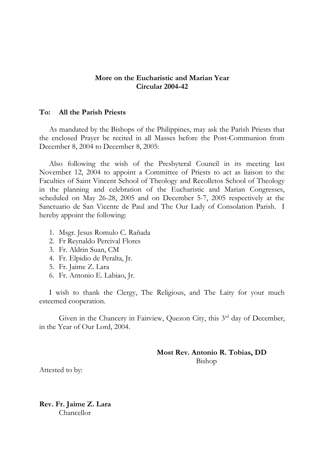## **More on the Eucharistic and Marian Year Circular 2004-42**

## **To: All the Parish Priests**

As mandated by the Bishops of the Philippines, may ask the Parish Priests that the enclosed Prayer be recited in all Masses before the Post-Communion from December 8, 2004 to December 8, 2005:

Also following the wish of the Presbyteral Council in its meeting last November 12, 2004 to appoint a Committee of Priests to act as liaison to the Faculties of Saint Vincent School of Theology and Recolletos School of Theology in the planning and celebration of the Eucharistic and Marian Congresses, scheduled on May 26-28, 2005 and on December 5-7, 2005 respectively at the Sanctuario de San Vicente de Paul and The Our Lady of Consolation Parish. I hereby appoint the following:

- 1. Msgr. Jesus Romulo C. Rañada
- 2. Fr Reynaldo Percival Flores
- 3. Fr. Aldrin Suan, CM
- 4. Fr. Elpidio de Peralta, Jr.
- 5. Fr. Jaime Z. Lara
- 6. Fr. Antonio E. Labiao, Jr.

I wish to thank the Clergy, The Religious, and The Laity for your much esteemed cooperation.

Given in the Chancery in Fairview, Quezon City, this 3<sup>rd</sup> day of December, in the Year of Our Lord, 2004.

> **Most Rev. Antonio R. Tobias, DD** Bishop

Attested to by:

**Rev. Fr. Jaime Z. Lara** Chancellor